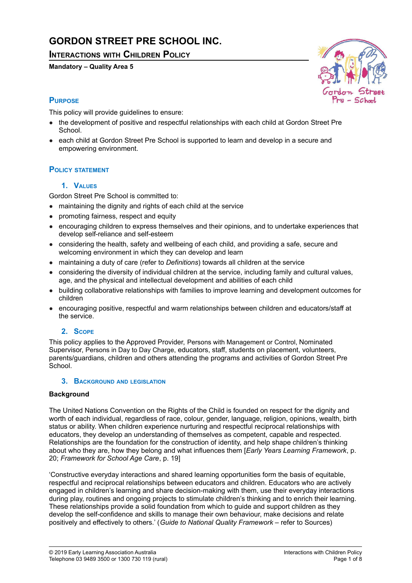# **GORDON STREET PRE SCHOOL INC.**

## **INTERACTIONS WITH CHILDREN POLICY**

#### **Mandatory – Quality Area 5**



## **PURPOSE**

This policy will provide guidelines to ensure:

- the development of positive and respectful relationships with each child at Gordon Street Pre School.
- each child at Gordon Street Pre School is supported to learn and develop in a secure and empowering environment.

## **POLICY STATEMENT**

## **1. VALUES**

Gordon Street Pre School is committed to:

- maintaining the dignity and rights of each child at the service
- promoting fairness, respect and equity
- encouraging children to express themselves and their opinions, and to undertake experiences that develop self-reliance and self-esteem
- considering the health, safety and wellbeing of each child, and providing a safe, secure and welcoming environment in which they can develop and learn
- maintaining a duty of care (refer to *Definitions*) towards all children at the service
- considering the diversity of individual children at the service, including family and cultural values, age, and the physical and intellectual development and abilities of each child
- building collaborative relationships with families to improve learning and development outcomes for children
- encouraging positive, respectful and warm relationships between children and educators/staff at the service.

## **2. SCOPE**

This policy applies to the Approved Provider, Persons with Management or Control, Nominated Supervisor, Persons in Day to Day Charge, educators, staff, students on placement, volunteers, parents/guardians, children and others attending the programs and activities of Gordon Street Pre School.

## **3. BACKGROUND AND LEGISLATION**

## **Background**

The United Nations Convention on the Rights of the Child is founded on respect for the dignity and worth of each individual, regardless of race, colour, gender, language, religion, opinions, wealth, birth status or ability. When children experience nurturing and respectful reciprocal relationships with educators, they develop an understanding of themselves as competent, capable and respected. Relationships are the foundation for the construction of identity, and help shape children's thinking about who they are, how they belong and what influences them [*Early Years Learning Framework*, p. 20; *Framework for School Age Care*, p. 19]

'Constructive everyday interactions and shared learning opportunities form the basis of equitable, respectful and reciprocal relationships between educators and children. Educators who are actively engaged in children's learning and share decision-making with them, use their everyday interactions during play, routines and ongoing projects to stimulate children's thinking and to enrich their learning. These relationships provide a solid foundation from which to guide and support children as they develop the self-confidence and skills to manage their own behaviour, make decisions and relate positively and effectively to others.' (*Guide to National Quality Framework* – refer to Sources)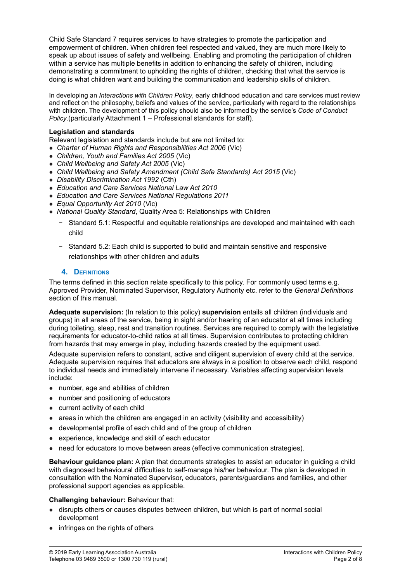Child Safe Standard 7 requires services to have strategies to promote the participation and empowerment of children. When children feel respected and valued, they are much more likely to speak up about issues of safety and wellbeing. Enabling and promoting the participation of children within a service has multiple benefits in addition to enhancing the safety of children, including demonstrating a commitment to upholding the rights of children, checking that what the service is doing is what children want and building the communication and leadership skills of children.

In developing an *Interactions with Children Policy*, early childhood education and care services must review and reflect on the philosophy, beliefs and values of the service, particularly with regard to the relationships with children. The development of this policy should also be informed by the service's *Code of Conduct Policy*.(particularly Attachment 1 – Professional standards for staff).

#### **Legislation and standards**

Relevant legislation and standards include but are not limited to:

- *Charter of Human Rights and Responsibilities Act 2006* (Vic)
- *Children, Youth and Families Act 2005* (Vic)
- *Child Wellbeing and Safety Act 2005* (Vic)
- *Child Wellbeing and Safety Amendment (Child Safe Standards) Act 2015* (Vic)
- *Disability Discrimination Act 1992* (Cth)
- *Education and Care Services National Law Act 2010*
- *Education and Care Services National Regulations 2011*
- *Equal Opportunity Act 2010* (Vic)
- *National Quality Standard*, Quality Area 5: Relationships with Children
	- − Standard 5.1: Respectful and equitable relationships are developed and maintained with each child
	- − Standard 5.2: Each child is supported to build and maintain sensitive and responsive relationships with other children and adults

#### **4. DEFINITIONS**

The terms defined in this section relate specifically to this policy. For commonly used terms e.g. Approved Provider, Nominated Supervisor, Regulatory Authority etc. refer to the *General Definitions* section of this manual.

**Adequate supervision:** (In relation to this policy) **supervision** entails all children (individuals and groups) in all areas of the service, being in sight and/or hearing of an educator at all times including during toileting, sleep, rest and transition routines. Services are required to comply with the legislative requirements for educator-to-child ratios at all times. Supervision contributes to protecting children from hazards that may emerge in play, including hazards created by the equipment used.

Adequate supervision refers to constant, active and diligent supervision of every child at the service. Adequate supervision requires that educators are always in a position to observe each child, respond to individual needs and immediately intervene if necessary. Variables affecting supervision levels include:

- number, age and abilities of children
- number and positioning of educators
- current activity of each child
- areas in which the children are engaged in an activity (visibility and accessibility)
- developmental profile of each child and of the group of children
- experience, knowledge and skill of each educator
- need for educators to move between areas (effective communication strategies).

**Behaviour guidance plan:** A plan that documents strategies to assist an educator in guiding a child with diagnosed behavioural difficulties to self-manage his/her behaviour. The plan is developed in consultation with the Nominated Supervisor, educators, parents/guardians and families, and other professional support agencies as applicable.

#### **Challenging behaviour:** Behaviour that:

- disrupts others or causes disputes between children, but which is part of normal social development
- infringes on the rights of others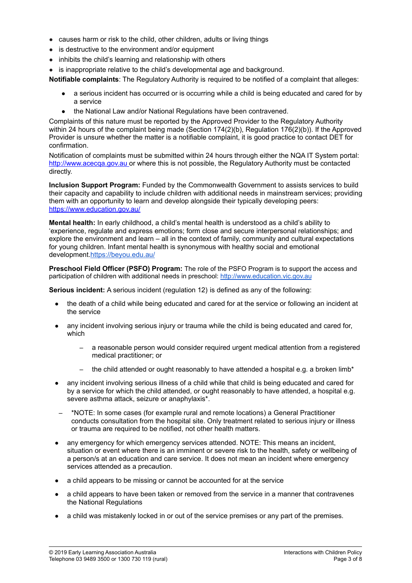- causes harm or risk to the child, other children, adults or living things
- is destructive to the environment and/or equipment
- inhibits the child's learning and relationship with others
- is inappropriate relative to the child's developmental age and background.

**Notifiable complaints**: The Regulatory Authority is required to be notified of a complaint that alleges:

- a serious incident has occurred or is occurring while a child is being educated and cared for by a service
- the National Law and/or National Regulations have been contravened.

Complaints of this nature must be reported by the Approved Provider to the Regulatory Authority within 24 hours of the complaint being made (Section 174(2)(b), Regulation 176(2)(b)). If the Approved Provider is unsure whether the matter is a notifiable complaint, it is good practice to contact DET for confirmation.

Notification of complaints must be submitted within 24 hours through either the NQA IT System portal: <http://www.acecqa.gov.au> or where this is not possible, the Regulatory Authority must be contacted directly.

**Inclusion Support Program:** Funded by the Commonwealth Government to assists services to build their capacity and capability to include children with additional needs in mainstream services; providing them with an opportunity to learn and develop alongside their typically developing peers: <https://www.education.gov.au/>

**Mental health:** In early childhood, a child's mental health is understood as a child's ability to 'experience, regulate and express emotions; form close and secure interpersonal relationships; and explore the environment and learn – all in the context of family, community and cultural expectations for young children. Infant mental health is synonymous with healthy social and emotional development.<https://beyou.edu.au/>

**Preschool Field Officer (PSFO) Program:** The role of the PSFO Program is to support the access and participation of children with additional needs in preschool: [http://www.education.vic.gov.au](http://www.education.vic.gov.au/Pages/default.aspx)

**Serious incident:** A serious incident (regulation 12) is defined as any of the following:

- the death of a child while being educated and cared for at the service or following an incident at the service
- any incident involving serious injury or trauma while the child is being educated and cared for, which
	- a reasonable person would consider required urgent medical attention from a registered medical practitioner; or
	- the child attended or ought reasonably to have attended a hospital e.g. a broken limb\*
- any incident involving serious illness of a child while that child is being educated and cared for by a service for which the child attended, or ought reasonably to have attended, a hospital e.g. severe asthma attack, seizure or anaphylaxis\*.
- \*NOTE: In some cases (for example rural and remote locations) a General Practitioner conducts consultation from the hospital site. Only treatment related to serious injury or illness or trauma are required to be notified, not other health matters.
- any emergency for which emergency services attended. NOTE: This means an incident, situation or event where there is an imminent or severe risk to the health, safety or wellbeing of a person/s at an education and care service. It does not mean an incident where emergency services attended as a precaution.
- a child appears to be missing or cannot be accounted for at the service
- a child appears to have been taken or removed from the service in a manner that contravenes the National Regulations
- a child was mistakenly locked in or out of the service premises or any part of the premises.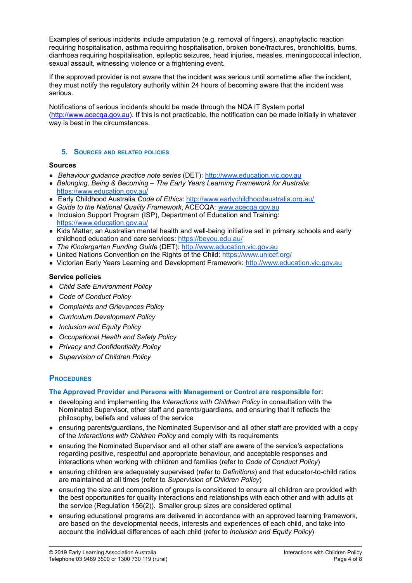Examples of serious incidents include amputation (e.g. removal of fingers), anaphylactic reaction requiring hospitalisation, asthma requiring hospitalisation, broken bone/fractures, bronchiolitis, burns, diarrhoea requiring hospitalisation, epileptic seizures, head injuries, measles, meningococcal infection, sexual assault, witnessing violence or a frightening event.

If the approved provider is not aware that the incident was serious until sometime after the incident, they must notify the regulatory authority within 24 hours of becoming aware that the incident was serious.

Notifications of serious incidents should be made through the NQA IT System portal [\(http://www.acecqa.gov.au](http://www.acecqa.gov.au)). If this is not practicable, the notification can be made initially in whatever way is best in the circumstances.

#### **5. SOURCES AND RELATED POLICIES**

#### **Sources**

- *Behaviour guidance practice note series* (DET): [http://www.education.vic.gov.au](http://www.education.vic.gov.au/Pages/default.aspx)
- *Belonging, Being & Becoming – The Early Years Learning Framework for Australia*: <https://www.education.gov.au/>
- Early Childhood Australia *Code of Ethics*: <http://www.earlychildhoodaustralia.org.au/>
- *Guide to the National Quality Framework*, ACECQA: [www.acecqa.gov.au](http://www.acecqa.gov.au)
- Inclusion Support Program (ISP), Department of Education and Training: <https://www.education.gov.au/>
- Kids Matter, an Australian mental health and well-being initiative set in primary schools and early childhood education and care services: <https://beyou.edu.au/>
- *The Kindergarten Funding Guide* (DET): [http://www.education.vic.gov.au](http://www.education.vic.gov.au/Pages/default.aspx)
- United Nations Convention on the Rights of the Child: <https://www.unicef.org/>
- Victorian Early Years Learning and Development Framework: [http://www.education.vic.gov.au](http://www.education.vic.gov.au/Pages/default.aspx)

#### **Service policies**

- *● Child Safe Environment Policy*
- *● Code of Conduct Policy*
- *● Complaints and Grievances Policy*
- *● Curriculum Development Policy*
- *● Inclusion and Equity Policy*
- *● Occupational Health and Safety Policy*
- *● Privacy and Confidentiality Policy*
- *● Supervision of Children Policy*

## **PROCEDURES**

#### **The Approved Provider and Persons with Management or Control are responsible for:**

- developing and implementing the *Interactions with Children Policy* in consultation with the Nominated Supervisor, other staff and parents/guardians, and ensuring that it reflects the philosophy, beliefs and values of the service
- ensuring parents/guardians, the Nominated Supervisor and all other staff are provided with a copy of the *Interactions with Children Policy* and comply with its requirements
- ensuring the Nominated Supervisor and all other staff are aware of the service's expectations regarding positive, respectful and appropriate behaviour, and acceptable responses and interactions when working with children and families (refer to *Code of Conduct Policy*)
- ensuring children are adequately supervised (refer to *Definitions*) and that educator-to-child ratios are maintained at all times (refer to *Supervision of Children Policy*)
- ensuring the size and composition of groups is considered to ensure all children are provided with the best opportunities for quality interactions and relationships with each other and with adults at the service (Regulation 156(2)). Smaller group sizes are considered optimal
- ensuring educational programs are delivered in accordance with an approved learning framework, are based on the developmental needs, interests and experiences of each child, and take into account the individual differences of each child (refer to *Inclusion and Equity Policy*)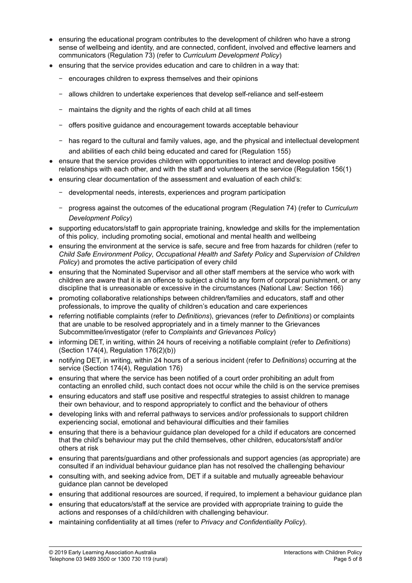- ensuring the educational program contributes to the development of children who have a strong sense of wellbeing and identity, and are connected, confident, involved and effective learners and communicators (Regulation 73) (refer to *Curriculum Development Policy*)
- ensuring that the service provides education and care to children in a way that:
	- − encourages children to express themselves and their opinions
	- − allows children to undertake experiences that develop self-reliance and self-esteem
	- − maintains the dignity and the rights of each child at all times
	- − offers positive guidance and encouragement towards acceptable behaviour
	- − has regard to the cultural and family values, age, and the physical and intellectual development and abilities of each child being educated and cared for (Regulation 155)
- ensure that the service provides children with opportunities to interact and develop positive relationships with each other, and with the staff and volunteers at the service (Regulation 156(1)
- ensuring clear documentation of the assessment and evaluation of each child's:
	- − developmental needs, interests, experiences and program participation
	- − progress against the outcomes of the educational program (Regulation 74) (refer to *Curriculum Development Policy*)
- supporting educators/staff to gain appropriate training, knowledge and skills for the implementation of this policy, including promoting social, emotional and mental health and wellbeing
- ensuring the environment at the service is safe, secure and free from hazards for children (refer to *Child Safe Environment Policy*, *Occupational Health and Safety Policy* and *Supervision of Children Policy*) and promotes the active participation of every child
- ensuring that the Nominated Supervisor and all other staff members at the service who work with children are aware that it is an offence to subject a child to any form of corporal punishment, or any discipline that is unreasonable or excessive in the circumstances (National Law: Section 166)
- promoting collaborative relationships between children/families and educators, staff and other professionals, to improve the quality of children's education and care experiences
- referring notifiable complaints (refer to *Definitions*), grievances (refer to *Definitions*) or complaints that are unable to be resolved appropriately and in a timely manner to the Grievances Subcommittee/investigator (refer to *Complaints and Grievances Policy*)
- informing DET, in writing, within 24 hours of receiving a notifiable complaint (refer to *Definitions*) (Section 174(4), Regulation 176(2)(b))
- notifying DET, in writing, within 24 hours of a serious incident (refer to *Definitions*) occurring at the service (Section 174(4), Regulation 176)
- ensuring that where the service has been notified of a court order prohibiting an adult from contacting an enrolled child, such contact does not occur while the child is on the service premises
- ensuring educators and staff use positive and respectful strategies to assist children to manage their own behaviour, and to respond appropriately to conflict and the behaviour of others
- developing links with and referral pathways to services and/or professionals to support children experiencing social, emotional and behavioural difficulties and their families
- ensuring that there is a behaviour guidance plan developed for a child if educators are concerned that the child's behaviour may put the child themselves, other children, educators/staff and/or others at risk
- ensuring that parents/guardians and other professionals and support agencies (as appropriate) are consulted if an individual behaviour guidance plan has not resolved the challenging behaviour
- consulting with, and seeking advice from, DET if a suitable and mutually agreeable behaviour guidance plan cannot be developed
- ensuring that additional resources are sourced, if required, to implement a behaviour guidance plan
- ensuring that educators/staff at the service are provided with appropriate training to quide the actions and responses of a child/children with challenging behaviour.
- maintaining confidentiality at all times (refer to *Privacy and Confidentiality Policy*).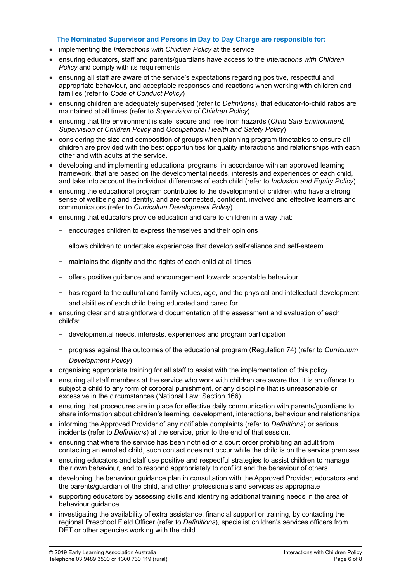#### **The Nominated Supervisor and Persons in Day to Day Charge are responsible for:**

- implementing the *Interactions with Children Policy* at the service
- ensuring educators, staff and parents/guardians have access to the *Interactions with Children Policy* and comply with its requirements
- ensuring all staff are aware of the service's expectations regarding positive, respectful and appropriate behaviour, and acceptable responses and reactions when working with children and families (refer to *Code of Conduct Policy*)
- ensuring children are adequately supervised (refer to *Definitions*), that educator-to-child ratios are maintained at all times (refer to *Supervision of Children Policy*)
- ensuring that the environment is safe, secure and free from hazards (*Child Safe Environment, Supervision of Children Policy* and *Occupational Health and Safety Policy*)
- considering the size and composition of groups when planning program timetables to ensure all children are provided with the best opportunities for quality interactions and relationships with each other and with adults at the service.
- developing and implementing educational programs, in accordance with an approved learning framework, that are based on the developmental needs, interests and experiences of each child, and take into account the individual differences of each child (refer to *Inclusion and Equity Policy*)
- ensuring the educational program contributes to the development of children who have a strong sense of wellbeing and identity, and are connected, confident, involved and effective learners and communicators (refer to *Curriculum Development Policy*)
- ensuring that educators provide education and care to children in a way that:
	- − encourages children to express themselves and their opinions
	- − allows children to undertake experiences that develop self-reliance and self-esteem
	- maintains the dignity and the rights of each child at all times
	- − offers positive guidance and encouragement towards acceptable behaviour
	- − has regard to the cultural and family values, age, and the physical and intellectual development and abilities of each child being educated and cared for
- ensuring clear and straightforward documentation of the assessment and evaluation of each child's:
	- − developmental needs, interests, experiences and program participation
	- − progress against the outcomes of the educational program (Regulation 74) (refer to *Curriculum Development Policy*)
- organising appropriate training for all staff to assist with the implementation of this policy
- ensuring all staff members at the service who work with children are aware that it is an offence to subject a child to any form of corporal punishment, or any discipline that is unreasonable or excessive in the circumstances (National Law: Section 166)
- ensuring that procedures are in place for effective daily communication with parents/guardians to share information about children's learning, development, interactions, behaviour and relationships
- informing the Approved Provider of any notifiable complaints (refer to *Definitions*) or serious incidents (refer to *Definitions*) at the service, prior to the end of that session.
- ensuring that where the service has been notified of a court order prohibiting an adult from contacting an enrolled child, such contact does not occur while the child is on the service premises
- ensuring educators and staff use positive and respectful strategies to assist children to manage their own behaviour, and to respond appropriately to conflict and the behaviour of others
- developing the behaviour quidance plan in consultation with the Approved Provider, educators and the parents/guardian of the child, and other professionals and services as appropriate
- supporting educators by assessing skills and identifying additional training needs in the area of behaviour guidance
- investigating the availability of extra assistance, financial support or training, by contacting the regional Preschool Field Officer (refer to *Definitions*), specialist children's services officers from DET or other agencies working with the child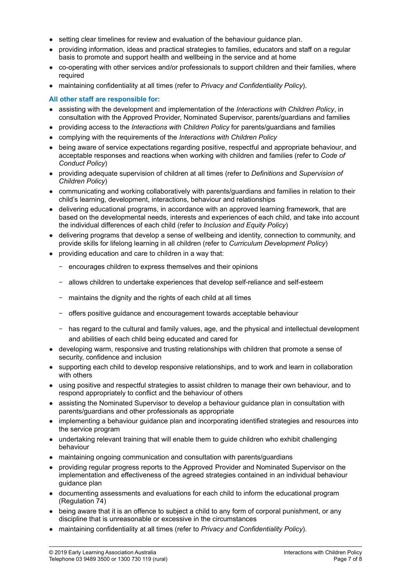- setting clear timelines for review and evaluation of the behaviour guidance plan.
- providing information, ideas and practical strategies to families, educators and staff on a regular basis to promote and support health and wellbeing in the service and at home
- co-operating with other services and/or professionals to support children and their families, where required
- maintaining confidentiality at all times (refer to *Privacy and Confidentiality Policy*).

## **All other staff are responsible for:**

- assisting with the development and implementation of the *Interactions with Children Policy*, in consultation with the Approved Provider, Nominated Supervisor, parents/guardians and families
- providing access to the *Interactions with Children Policy* for parents/guardians and families
- complying with the requirements of the *Interactions with Children Policy*
- being aware of service expectations regarding positive, respectful and appropriate behaviour, and acceptable responses and reactions when working with children and families (refer to *Code of Conduct Policy*)
- providing adequate supervision of children at all times (refer to *Definitions* and *Supervision of Children Policy*)
- communicating and working collaboratively with parents/guardians and families in relation to their child's learning, development, interactions, behaviour and relationships
- delivering educational programs, in accordance with an approved learning framework, that are based on the developmental needs, interests and experiences of each child, and take into account the individual differences of each child (refer to *Inclusion and Equity Policy*)
- delivering programs that develop a sense of wellbeing and identity, connection to community, and provide skills for lifelong learning in all children (refer to *Curriculum Development Policy*)
- providing education and care to children in a way that:
	- − encourages children to express themselves and their opinions
	- − allows children to undertake experiences that develop self-reliance and self-esteem
	- − maintains the dignity and the rights of each child at all times
	- − offers positive guidance and encouragement towards acceptable behaviour
	- − has regard to the cultural and family values, age, and the physical and intellectual development and abilities of each child being educated and cared for
- developing warm, responsive and trusting relationships with children that promote a sense of security, confidence and inclusion
- supporting each child to develop responsive relationships, and to work and learn in collaboration with others
- using positive and respectful strategies to assist children to manage their own behaviour, and to respond appropriately to conflict and the behaviour of others
- assisting the Nominated Supervisor to develop a behaviour guidance plan in consultation with parents/guardians and other professionals as appropriate
- implementing a behaviour guidance plan and incorporating identified strategies and resources into the service program
- undertaking relevant training that will enable them to guide children who exhibit challenging behaviour
- maintaining ongoing communication and consultation with parents/guardians
- providing regular progress reports to the Approved Provider and Nominated Supervisor on the implementation and effectiveness of the agreed strategies contained in an individual behaviour guidance plan
- documenting assessments and evaluations for each child to inform the educational program (Regulation 74)
- being aware that it is an offence to subject a child to any form of corporal punishment, or any discipline that is unreasonable or excessive in the circumstances
- maintaining confidentiality at all times (refer to *Privacy and Confidentiality Policy*).